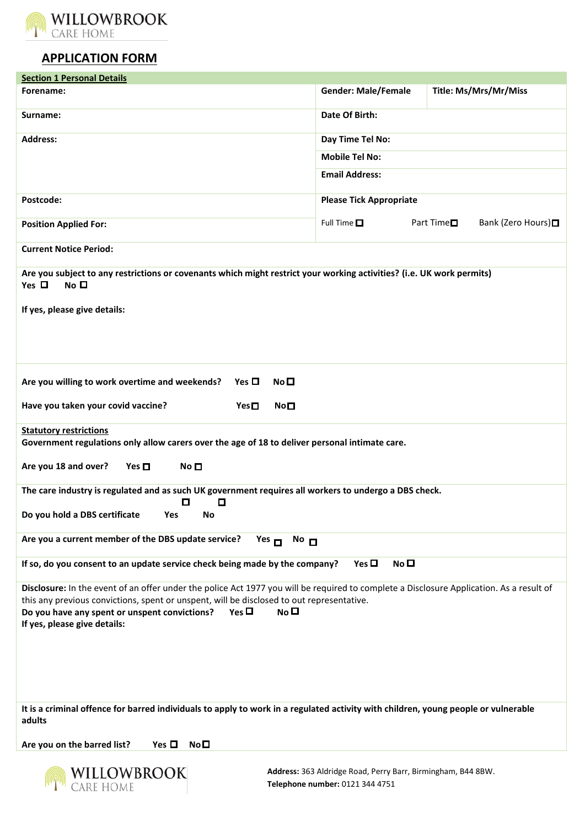

## **APPLICATION FORM**

| <b>Section 1 Personal Details</b>                                                                                                                                                                                                                                                                                                                      |                                |                                               |
|--------------------------------------------------------------------------------------------------------------------------------------------------------------------------------------------------------------------------------------------------------------------------------------------------------------------------------------------------------|--------------------------------|-----------------------------------------------|
| Forename:                                                                                                                                                                                                                                                                                                                                              | <b>Gender: Male/Female</b>     | Title: Ms/Mrs/Mr/Miss                         |
| Surname:                                                                                                                                                                                                                                                                                                                                               | Date Of Birth:                 |                                               |
| <b>Address:</b>                                                                                                                                                                                                                                                                                                                                        | Day Time Tel No:               |                                               |
|                                                                                                                                                                                                                                                                                                                                                        | <b>Mobile Tel No:</b>          |                                               |
|                                                                                                                                                                                                                                                                                                                                                        | <b>Email Address:</b>          |                                               |
|                                                                                                                                                                                                                                                                                                                                                        |                                |                                               |
| Postcode:                                                                                                                                                                                                                                                                                                                                              | <b>Please Tick Appropriate</b> |                                               |
| <b>Position Applied For:</b>                                                                                                                                                                                                                                                                                                                           | Full Time $\square$            | Part Time <sup>II</sup><br>Bank (Zero Hours)□ |
| <b>Current Notice Period:</b>                                                                                                                                                                                                                                                                                                                          |                                |                                               |
| Are you subject to any restrictions or covenants which might restrict your working activities? (i.e. UK work permits)<br>Yes $\Box$<br>No <sub>D</sub><br>If yes, please give details:                                                                                                                                                                 |                                |                                               |
|                                                                                                                                                                                                                                                                                                                                                        |                                |                                               |
| Are you willing to work overtime and weekends?<br>Yes $\Box$<br>No <sub>1</sub>                                                                                                                                                                                                                                                                        |                                |                                               |
| Have you taken your covid vaccine?<br>$Yes \Box$<br>No <sub>1</sub>                                                                                                                                                                                                                                                                                    |                                |                                               |
| <b>Statutory restrictions</b>                                                                                                                                                                                                                                                                                                                          |                                |                                               |
| Government regulations only allow carers over the age of 18 to deliver personal intimate care.                                                                                                                                                                                                                                                         |                                |                                               |
| Are you 18 and over?<br>Yes $\Box$<br>No □                                                                                                                                                                                                                                                                                                             |                                |                                               |
| The care industry is regulated and as such UK government requires all workers to undergo a DBS check.<br>О<br>0                                                                                                                                                                                                                                        |                                |                                               |
| Do you hold a DBS certificate<br>Yes<br>No                                                                                                                                                                                                                                                                                                             |                                |                                               |
| Are you a current member of the DBS update service?<br>$Yes$ $\Box$<br>$No$ $\Box$                                                                                                                                                                                                                                                                     |                                |                                               |
| If so, do you consent to an update service check being made by the company?                                                                                                                                                                                                                                                                            | Yes $\Box$<br>No <sub>1</sub>  |                                               |
| Disclosure: In the event of an offer under the police Act 1977 you will be required to complete a Disclosure Application. As a result of<br>this any previous convictions, spent or unspent, will be disclosed to out representative.<br>Do you have any spent or unspent convictions?<br>Yes $\Box$<br>$N0$ $\square$<br>If yes, please give details: |                                |                                               |
| It is a criminal offence for barred individuals to apply to work in a regulated activity with children, young people or vulnerable<br>adults                                                                                                                                                                                                           |                                |                                               |
| Are you on the barred list?<br>Yes $\square$ No $\square$                                                                                                                                                                                                                                                                                              |                                |                                               |

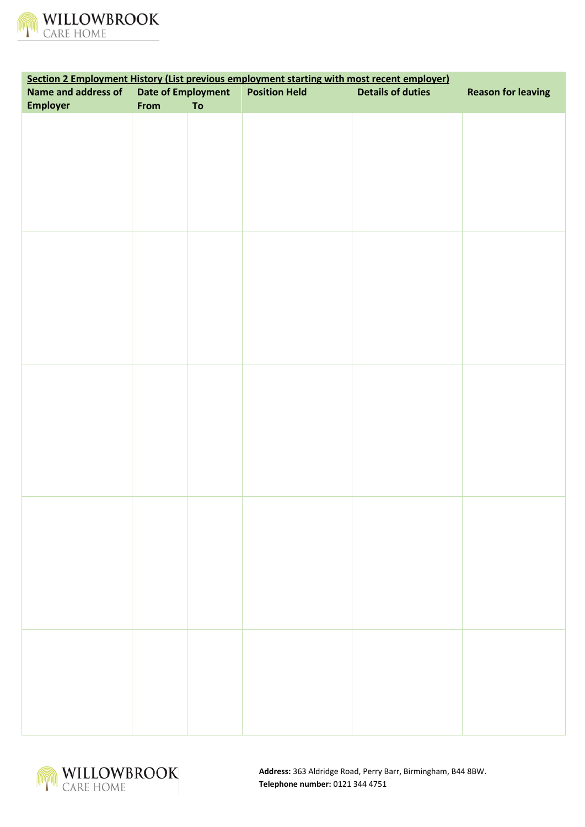

| Section 2 Employment History (List previous employment starting with most recent employer) |                           |            |                      |                          |                           |
|--------------------------------------------------------------------------------------------|---------------------------|------------|----------------------|--------------------------|---------------------------|
| Name and address of                                                                        | <b>Date of Employment</b> |            | <b>Position Held</b> | <b>Details of duties</b> | <b>Reason for leaving</b> |
| <b>Employer</b>                                                                            | From                      | ${\bf To}$ |                      |                          |                           |
|                                                                                            |                           |            |                      |                          |                           |
|                                                                                            |                           |            |                      |                          |                           |
|                                                                                            |                           |            |                      |                          |                           |
|                                                                                            |                           |            |                      |                          |                           |
|                                                                                            |                           |            |                      |                          |                           |
|                                                                                            |                           |            |                      |                          |                           |
|                                                                                            |                           |            |                      |                          |                           |
|                                                                                            |                           |            |                      |                          |                           |
|                                                                                            |                           |            |                      |                          |                           |
|                                                                                            |                           |            |                      |                          |                           |
|                                                                                            |                           |            |                      |                          |                           |
|                                                                                            |                           |            |                      |                          |                           |
|                                                                                            |                           |            |                      |                          |                           |
|                                                                                            |                           |            |                      |                          |                           |
|                                                                                            |                           |            |                      |                          |                           |
|                                                                                            |                           |            |                      |                          |                           |
|                                                                                            |                           |            |                      |                          |                           |
|                                                                                            |                           |            |                      |                          |                           |
|                                                                                            |                           |            |                      |                          |                           |
|                                                                                            |                           |            |                      |                          |                           |
|                                                                                            |                           |            |                      |                          |                           |
|                                                                                            |                           |            |                      |                          |                           |
|                                                                                            |                           |            |                      |                          |                           |
|                                                                                            |                           |            |                      |                          |                           |
|                                                                                            |                           |            |                      |                          |                           |
|                                                                                            |                           |            |                      |                          |                           |
|                                                                                            |                           |            |                      |                          |                           |
|                                                                                            |                           |            |                      |                          |                           |
|                                                                                            |                           |            |                      |                          |                           |
|                                                                                            |                           |            |                      |                          |                           |
|                                                                                            |                           |            |                      |                          |                           |
|                                                                                            |                           |            |                      |                          |                           |
|                                                                                            |                           |            |                      |                          |                           |
|                                                                                            |                           |            |                      |                          |                           |
|                                                                                            |                           |            |                      |                          |                           |
|                                                                                            |                           |            |                      |                          |                           |
|                                                                                            |                           |            |                      |                          |                           |
|                                                                                            |                           |            |                      |                          |                           |
|                                                                                            |                           |            |                      |                          |                           |
|                                                                                            |                           |            |                      |                          |                           |
|                                                                                            |                           |            |                      |                          |                           |
|                                                                                            |                           |            |                      |                          |                           |
|                                                                                            |                           |            |                      |                          |                           |
|                                                                                            |                           |            |                      |                          |                           |

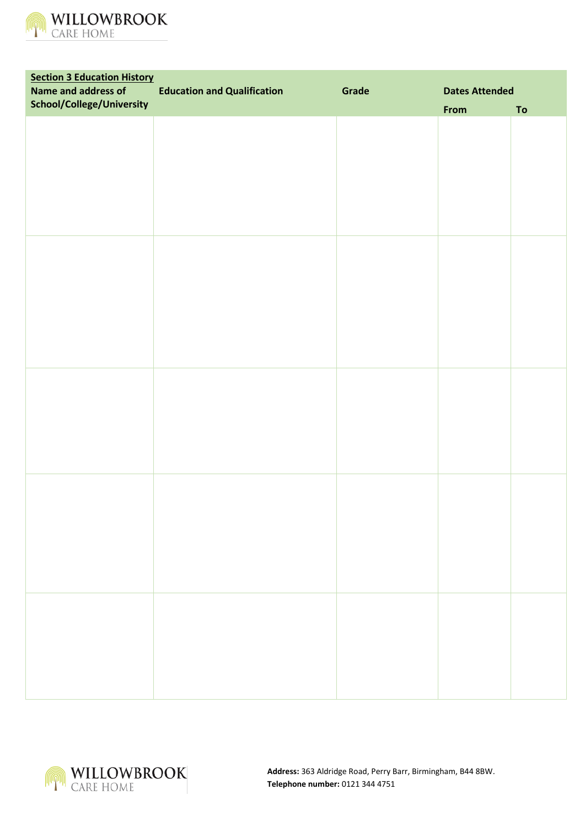

| <b>Section 3 Education History</b> |                                    |       |                       |    |
|------------------------------------|------------------------------------|-------|-----------------------|----|
| Name and address of                | <b>Education and Qualification</b> | Grade | <b>Dates Attended</b> |    |
| School/College/University          |                                    |       | From                  | To |
|                                    |                                    |       |                       |    |
|                                    |                                    |       |                       |    |
|                                    |                                    |       |                       |    |
|                                    |                                    |       |                       |    |
|                                    |                                    |       |                       |    |
|                                    |                                    |       |                       |    |
|                                    |                                    |       |                       |    |
|                                    |                                    |       |                       |    |
|                                    |                                    |       |                       |    |
|                                    |                                    |       |                       |    |
|                                    |                                    |       |                       |    |
|                                    |                                    |       |                       |    |
|                                    |                                    |       |                       |    |
|                                    |                                    |       |                       |    |
|                                    |                                    |       |                       |    |
|                                    |                                    |       |                       |    |
|                                    |                                    |       |                       |    |
|                                    |                                    |       |                       |    |
|                                    |                                    |       |                       |    |
|                                    |                                    |       |                       |    |
|                                    |                                    |       |                       |    |
|                                    |                                    |       |                       |    |
|                                    |                                    |       |                       |    |
|                                    |                                    |       |                       |    |
|                                    |                                    |       |                       |    |
|                                    |                                    |       |                       |    |
|                                    |                                    |       |                       |    |
|                                    |                                    |       |                       |    |
|                                    |                                    |       |                       |    |
|                                    |                                    |       |                       |    |
|                                    |                                    |       |                       |    |
|                                    |                                    |       |                       |    |
|                                    |                                    |       |                       |    |
|                                    |                                    |       |                       |    |
|                                    |                                    |       |                       |    |
|                                    |                                    |       |                       |    |
|                                    |                                    |       |                       |    |
|                                    |                                    |       |                       |    |
|                                    |                                    |       |                       |    |
|                                    |                                    |       |                       |    |
|                                    |                                    |       |                       |    |
|                                    |                                    |       |                       |    |
|                                    |                                    |       |                       |    |
|                                    |                                    |       |                       |    |
|                                    |                                    |       |                       |    |